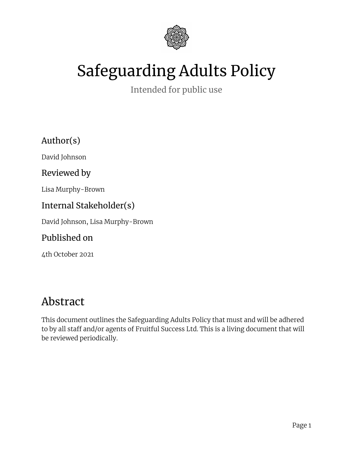

# Safeguarding Adults Policy

Intended for public use

Author(s)

David Johnson

Reviewed by

Lisa Murphy-Brown

#### Internal Stakeholder(s)

David Johnson, Lisa Murphy-Brown

#### Published on

4th October 2021

# Abstract

This document outlines the Safeguarding Adults Policy that must and will be adhered to by all staff and/or agents of Fruitful Success Ltd. This is a living document that will be reviewed periodically.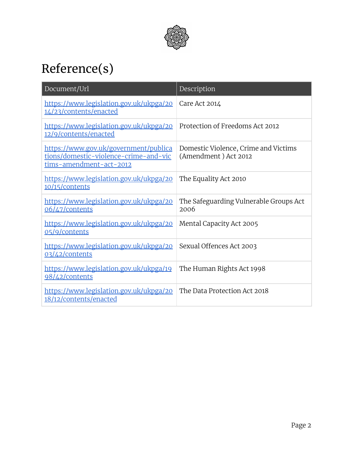

# <span id="page-1-0"></span>Reference(s)

| Document/Url                                                                                              | Description                                                  |
|-----------------------------------------------------------------------------------------------------------|--------------------------------------------------------------|
| https://www.legislation.gov.uk/ukpga/20<br>14/23/contents/enacted                                         | Care Act 2014                                                |
| https://www.legislation.gov.uk/ukpga/20<br>12/9/contents/enacted                                          | Protection of Freedoms Act 2012                              |
| https://www.gov.uk/government/publica<br>tions/domestic-violence-crime-and-vic<br>tims-amendment-act-2012 | Domestic Violence, Crime and Victims<br>(Amendment) Act 2012 |
| https://www.legislation.gov.uk/ukpga/20<br>10/15/contents                                                 | The Equality Act 2010                                        |
| https://www.legislation.gov.uk/ukpga/20<br>06/47/contents                                                 | The Safeguarding Vulnerable Groups Act<br>2006               |
| https://www.legislation.gov.uk/ukpga/20<br>05/9/contents                                                  | Mental Capacity Act 2005                                     |
| https://www.legislation.gov.uk/ukpga/20<br>03/42/contents                                                 | Sexual Offences Act 2003                                     |
| https://www.legislation.gov.uk/ukpga/19<br>98/42/contents                                                 | The Human Rights Act 1998                                    |
| https://www.legislation.gov.uk/ukpga/20<br>18/12/contents/enacted                                         | The Data Protection Act 2018                                 |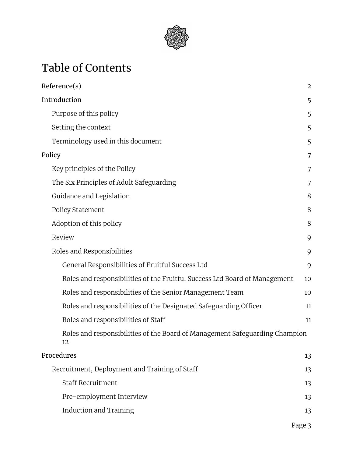

# Table of Contents

| Reference(s)                                                                      | $\overline{2}$ |
|-----------------------------------------------------------------------------------|----------------|
| Introduction                                                                      | 5              |
| Purpose of this policy                                                            | 5              |
| Setting the context                                                               | 5              |
| Terminology used in this document                                                 | 5              |
| Policy                                                                            | 7              |
| Key principles of the Policy                                                      | 7              |
| The Six Principles of Adult Safeguarding                                          | 7              |
| Guidance and Legislation                                                          | 8              |
| Policy Statement                                                                  | 8              |
| Adoption of this policy                                                           | 8              |
| Review                                                                            | 9              |
| Roles and Responsibilities                                                        | 9              |
| General Responsibilities of Fruitful Success Ltd                                  | 9              |
| Roles and responsibilities of the Fruitful Success Ltd Board of Management        | 10             |
| Roles and responsibilities of the Senior Management Team                          | 10             |
| Roles and responsibilities of the Designated Safeguarding Officer                 | 11             |
| Roles and responsibilities of Staff                                               | 11             |
| Roles and responsibilities of the Board of Management Safeguarding Champion<br>12 |                |
| Procedures                                                                        | 13             |
| Recruitment, Deployment and Training of Staff                                     | 13             |
| <b>Staff Recruitment</b>                                                          | 13             |
| Pre-employment Interview                                                          | 13             |
| <b>Induction and Training</b>                                                     | 13             |
|                                                                                   |                |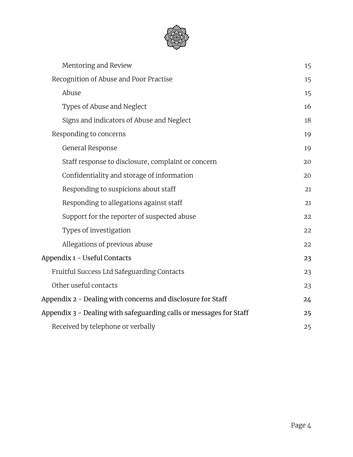

| Mentoring and Review                                               | 15 |
|--------------------------------------------------------------------|----|
| Recognition of Abuse and Poor Practise                             | 15 |
| Abuse                                                              | 15 |
| Types of Abuse and Neglect                                         | 16 |
| Signs and indicators of Abuse and Neglect                          | 18 |
| Responding to concerns                                             | 19 |
| General Response                                                   | 19 |
| Staff response to disclosure, complaint or concern                 | 20 |
| Confidentiality and storage of information                         | 20 |
| Responding to suspicions about staff                               | 21 |
| Responding to allegations against staff                            | 21 |
| Support for the reporter of suspected abuse                        | 22 |
| Types of investigation                                             | 22 |
| Allegations of previous abuse                                      | 22 |
| Appendix 1 - Useful Contacts                                       | 23 |
| Fruitful Success Ltd Safeguarding Contacts                         | 23 |
| Other useful contacts                                              | 23 |
| Appendix 2 - Dealing with concerns and disclosure for Staff        | 24 |
| Appendix 3 - Dealing with safeguarding calls or messages for Staff | 25 |
| Received by telephone or verbally                                  | 25 |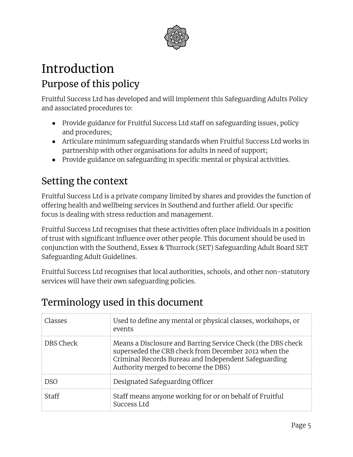

# <span id="page-4-1"></span><span id="page-4-0"></span>Introduction Purpose of this policy

Fruitful Success Ltd has developed and will implement this Safeguarding Adults Policy and associated procedures to:

- Provide guidance for Fruitful Success Ltd staff on safeguarding issues, policy and procedures;
- Articulare minimum safeguarding standards when Fruitful Success Ltd works in partnership with other organisations for adults in need of support;
- Provide guidance on safeguarding in specific mental or physical activities.

# <span id="page-4-2"></span>Setting the context

Fruitful Success Ltd is a private company limited by shares and provides the function of offering health and wellbeing services in Southend and further afield. Our specific focus is dealing with stress reduction and management.

Fruitful Success Ltd recognises that these activities often place individuals in a position of trust with significant influence over other people. This document should be used in conjunction with the Southend, Essex & Thurrock (SET) Safeguarding Adult Board SET Safeguarding Adult Guidelines.

Fruitful Success Ltd recognises that local authorities, schools, and other non-statutory services will have their own safeguarding policies.

# <span id="page-4-3"></span>Terminology used in this document

| Classes      | Used to define any mental or physical classes, workshops, or<br>events                                                                                                                                             |
|--------------|--------------------------------------------------------------------------------------------------------------------------------------------------------------------------------------------------------------------|
| DBS Check    | Means a Disclosure and Barring Service Check (the DBS check<br>superseded the CRB check from December 2012 when the<br>Criminal Records Bureau and Independent Safeguarding<br>Authority merged to become the DBS) |
| <b>DSO</b>   | Designated Safeguarding Officer                                                                                                                                                                                    |
| <b>Staff</b> | Staff means anyone working for or on behalf of Fruitful<br>Success Ltd                                                                                                                                             |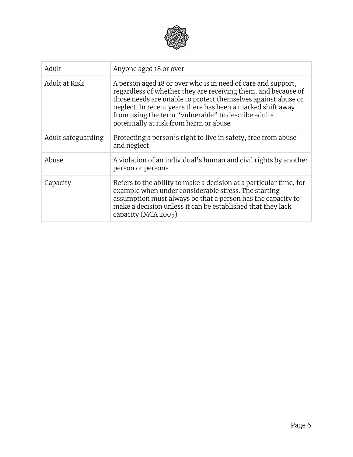

| Adult              | Anyone aged 18 or over                                                                                                                                                                                                                                                                                                                                         |
|--------------------|----------------------------------------------------------------------------------------------------------------------------------------------------------------------------------------------------------------------------------------------------------------------------------------------------------------------------------------------------------------|
| Adult at Risk      | A person aged 18 or over who is in need of care and support,<br>regardless of whether they are receiving them, and because of<br>those needs are unable to protect themselves against abuse or<br>neglect. In recent years there has been a marked shift away<br>from using the term "vulnerable" to describe adults<br>potentially at risk from harm or abuse |
| Adult safeguarding | Protecting a person's right to live in safety, free from abuse<br>and neglect                                                                                                                                                                                                                                                                                  |
| Abuse              | A violation of an individual's human and civil rights by another<br>person or persons                                                                                                                                                                                                                                                                          |
| Capacity           | Refers to the ability to make a decision at a particular time, for<br>example when under considerable stress. The starting<br>assumption must always be that a person has the capacity to<br>make a decision unless it can be established that they lack<br>capacity (MCA 2005)                                                                                |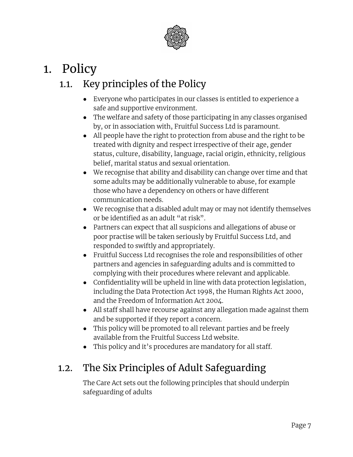

# <span id="page-6-1"></span><span id="page-6-0"></span>1. Policy

# 1.1. Key principles of the Policy

- Everyone who participates in our classes is entitled to experience a safe and supportive environment.
- The welfare and safety of those participating in any classes organised by, or in association with, Fruitful Success Ltd is paramount.
- All people have the right to protection from abuse and the right to be treated with dignity and respect irrespective of their age, gender status, culture, disability, language, racial origin, ethnicity, religious belief, marital status and sexual orientation.
- We recognise that ability and disability can change over time and that some adults may be additionally vulnerable to abuse, for example those who have a dependency on others or have different communication needs.
- We recognise that a disabled adult may or may not identify themselves or be identified as an adult "at risk".
- Partners can expect that all suspicions and allegations of abuse or poor practise will be taken seriously by Fruitful Success Ltd, and responded to swiftly and appropriately.
- Fruitful Success Ltd recognises the role and responsibilities of other partners and agencies in safeguarding adults and is committed to complying with their procedures where relevant and applicable.
- Confidentiality will be upheld in line with data protection legislation, including the Data Protection Act 1998, the Human Rights Act 2000, and the Freedom of Information Act 2004.
- All staff shall have recourse against any allegation made against them and be supported if they report a concern.
- This policy will be promoted to all relevant parties and be freely available from the Fruitful Success Ltd website.
- This policy and it's procedures are mandatory for all staff.

# <span id="page-6-2"></span>1.2. The Six Principles of Adult Safeguarding

The Care Act sets out the following principles that should underpin safeguarding of adults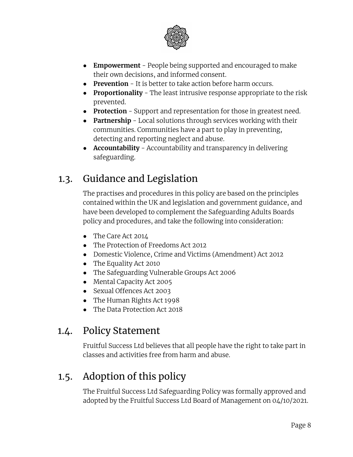

- **● Empowerment** People being supported and encouraged to make their own decisions, and informed consent.
- **● Prevention** It is better to take action before harm occurs.
- **● Proportionality** The least intrusive response appropriate to the risk prevented.
- **● Protection** Support and representation for those in greatest need.
- **● Partnership** Local solutions through services working with their communities. Communities have a part to play in preventing, detecting and reporting neglect and abuse.
- **● Accountability** Accountability and transparency in delivering safeguarding.

# <span id="page-7-0"></span>1.3. Guidance and Legislation

The practises and procedures in this policy are based on the principles contained within the UK and legislation and government guidance, and have been developed to complement the Safeguarding Adults Boards policy and procedures, and take the following into consideration:

- The Care Act 2014
- The Protection of Freedoms Act 2012
- Domestic Violence, Crime and Victims (Amendment) Act 2012
- The Equality Act 2010
- The Safeguarding Vulnerable Groups Act 2006
- Mental Capacity Act 2005
- Sexual Offences Act 2003
- The Human Rights Act 1998
- The Data Protection Act 2018

# <span id="page-7-1"></span>1.4. Policy Statement

Fruitful Success Ltd believes that all people have the right to take part in classes and activities free from harm and abuse.

# <span id="page-7-2"></span>1.5. Adoption of this policy

The Fruitful Success Ltd Safeguarding Policy was formally approved and adopted by the Fruitful Success Ltd Board of Management on 04/10/2021.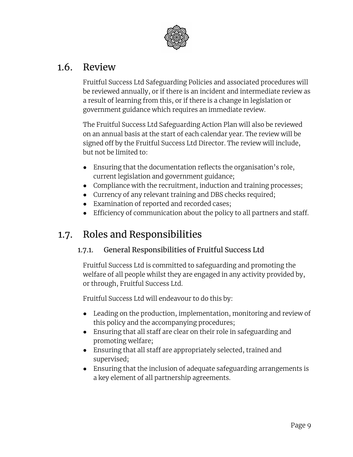

### <span id="page-8-0"></span>1.6. Review

Fruitful Success Ltd Safeguarding Policies and associated procedures will be reviewed annually, or if there is an incident and intermediate review as a result of learning from this, or if there is a change in legislation or government guidance which requires an immediate review.

The Fruitful Success Ltd Safeguarding Action Plan will also be reviewed on an annual basis at the start of each calendar year. The review will be signed off by the Fruitful Success Ltd Director. The review will include, but not be limited to:

- Ensuring that the documentation reflects the organisation's role, current legislation and government guidance;
- Compliance with the recruitment, induction and training processes;
- Currency of any relevant training and DBS checks required;
- Examination of reported and recorded cases;
- Efficiency of communication about the policy to all partners and staff.

# <span id="page-8-2"></span><span id="page-8-1"></span>1.7. Roles and Responsibilities

#### 1.7.1. General Responsibilities of Fruitful Success Ltd

Fruitful Success Ltd is committed to safeguarding and promoting the welfare of all people whilst they are engaged in any activity provided by, or through, Fruitful Success Ltd.

Fruitful Success Ltd will endeavour to do this by:

- Leading on the production, implementation, monitoring and review of this policy and the accompanying procedures;
- Ensuring that all staff are clear on their role in safeguarding and promoting welfare;
- Ensuring that all staff are appropriately selected, trained and supervised;
- Ensuring that the inclusion of adequate safeguarding arrangements is a key element of all partnership agreements.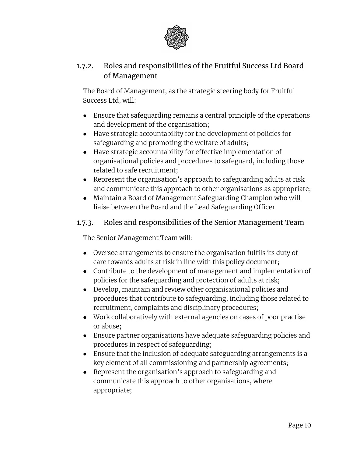

#### <span id="page-9-0"></span>1.7.2. Roles and responsibilities of the Fruitful Success Ltd Board of Management

The Board of Management, as the strategic steering body for Fruitful Success Ltd, will:

- Ensure that safeguarding remains a central principle of the operations and development of the organisation;
- Have strategic accountability for the development of policies for safeguarding and promoting the welfare of adults;
- Have strategic accountability for effective implementation of organisational policies and procedures to safeguard, including those related to safe recruitment;
- Represent the organisation's approach to safeguarding adults at risk and communicate this approach to other organisations as appropriate;
- Maintain a Board of Management Safeguarding Champion who will liaise between the Board and the Lead Safeguarding Officer.

#### <span id="page-9-1"></span>1.7.3. Roles and responsibilities of the Senior Management Team

The Senior Management Team will:

- Oversee arrangements to ensure the organisation fulfils its duty of care towards adults at risk in line with this policy document;
- Contribute to the development of management and implementation of policies for the safeguarding and protection of adults at risk;
- Develop, maintain and review other organisational policies and procedures that contribute to safeguarding, including those related to recruitment, complaints and disciplinary procedures;
- Work collaboratively with external agencies on cases of poor practise or abuse;
- Ensure partner organisations have adequate safeguarding policies and procedures in respect of safeguarding;
- Ensure that the inclusion of adequate safeguarding arrangements is a key element of all commissioning and partnership agreements;
- Represent the organisation's approach to safeguarding and communicate this approach to other organisations, where appropriate;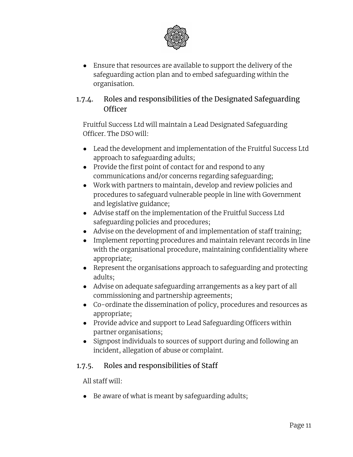

● Ensure that resources are available to support the delivery of the safeguarding action plan and to embed safeguarding within the organisation.

#### <span id="page-10-0"></span>1.7.4. Roles and responsibilities of the Designated Safeguarding Officer

Fruitful Success Ltd will maintain a Lead Designated Safeguarding Officer. The DSO will:

- Lead the development and implementation of the Fruitful Success Ltd approach to safeguarding adults;
- Provide the first point of contact for and respond to any communications and/or concerns regarding safeguarding;
- Work with partners to maintain, develop and review policies and procedures to safeguard vulnerable people in line with Government and legislative guidance;
- Advise staff on the implementation of the Fruitful Success Ltd safeguarding policies and procedures;
- Advise on the development of and implementation of staff training;
- Implement reporting procedures and maintain relevant records in line with the organisational procedure, maintaining confidentiality where appropriate;
- Represent the organisations approach to safeguarding and protecting adults;
- Advise on adequate safeguarding arrangements as a key part of all commissioning and partnership agreements;
- Co-ordinate the dissemination of policy, procedures and resources as appropriate;
- Provide advice and support to Lead Safeguarding Officers within partner organisations;
- Signpost individuals to sources of support during and following an incident, allegation of abuse or complaint.

#### <span id="page-10-1"></span>1.7.5. Roles and responsibilities of Staff

All staff will:

● Be aware of what is meant by safeguarding adults;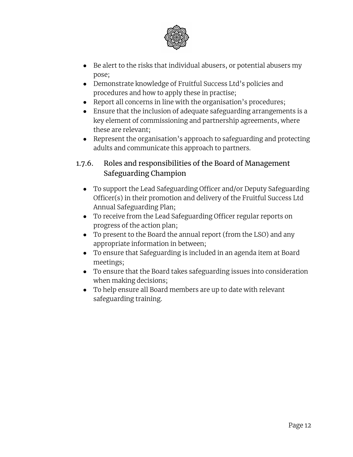

- Be alert to the risks that individual abusers, or potential abusers my pose;
- Demonstrate knowledge of Fruitful Success Ltd's policies and procedures and how to apply these in practise;
- Report all concerns in line with the organisation's procedures;
- Ensure that the inclusion of adequate safeguarding arrangements is a key element of commissioning and partnership agreements, where these are relevant;
- Represent the organisation's approach to safeguarding and protecting adults and communicate this approach to partners.

#### <span id="page-11-0"></span>1.7.6. Roles and responsibilities of the Board of Management Safeguarding Champion

- To support the Lead Safeguarding Officer and/or Deputy Safeguarding Officer(s) in their promotion and delivery of the Fruitful Success Ltd Annual Safeguarding Plan;
- To receive from the Lead Safeguarding Officer regular reports on progress of the action plan;
- To present to the Board the annual report (from the LSO) and any appropriate information in between;
- To ensure that Safeguarding is included in an agenda item at Board meetings;
- To ensure that the Board takes safeguarding issues into consideration when making decisions;
- To help ensure all Board members are up to date with relevant safeguarding training.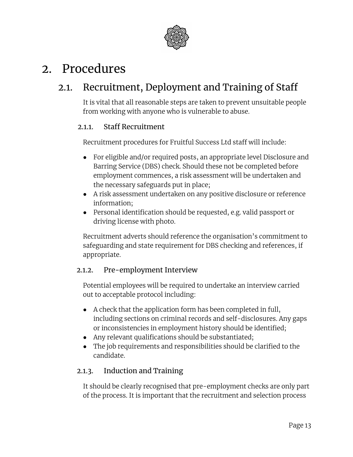

# <span id="page-12-0"></span>2. Procedures

# <span id="page-12-1"></span>2.1. Recruitment, Deployment and Training of Staff

It is vital that all reasonable steps are taken to prevent unsuitable people from working with anyone who is vulnerable to abuse.

#### <span id="page-12-2"></span>2.1.1. Staff Recruitment

Recruitment procedures for Fruitful Success Ltd staff will include:

- For eligible and/or required posts, an appropriate level Disclosure and Barring Service (DBS) check. Should these not be completed before employment commences, a risk assessment will be undertaken and the necessary safeguards put in place;
- A risk assessment undertaken on any positive disclosure or reference information;
- Personal identification should be requested, e.g. valid passport or driving license with photo.

Recruitment adverts should reference the organisation's commitment to safeguarding and state requirement for DBS checking and references, if appropriate.

#### <span id="page-12-3"></span>2.1.2. Pre-employment Interview

Potential employees will be required to undertake an interview carried out to acceptable protocol including:

- A check that the application form has been completed in full, including sections on criminal records and self-disclosures. Any gaps or inconsistencies in employment history should be identified;
- Any relevant qualifications should be substantiated;
- The job requirements and responsibilities should be clarified to the candidate.

#### <span id="page-12-4"></span>2.1.3. Induction and Training

It should be clearly recognised that pre-employment checks are only part of the process. It is important that the recruitment and selection process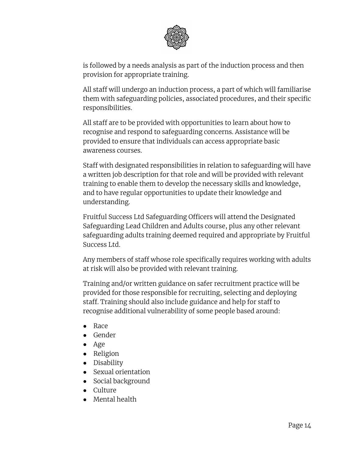

is followed by a needs analysis as part of the induction process and then provision for appropriate training.

All staff will undergo an induction process, a part of which will familiarise them with safeguarding policies, associated procedures, and their specific responsibilities.

All staff are to be provided with opportunities to learn about how to recognise and respond to safeguarding concerns. Assistance will be provided to ensure that individuals can access appropriate basic awareness courses.

Staff with designated responsibilities in relation to safeguarding will have a written job description for that role and will be provided with relevant training to enable them to develop the necessary skills and knowledge, and to have regular opportunities to update their knowledge and understanding.

Fruitful Success Ltd Safeguarding Officers will attend the Designated Safeguarding Lead Children and Adults course, plus any other relevant safeguarding adults training deemed required and appropriate by Fruitful Success Ltd.

Any members of staff whose role specifically requires working with adults at risk will also be provided with relevant training.

Training and/or written guidance on safer recruitment practice will be provided for those responsible for recruiting, selecting and deploying staff. Training should also include guidance and help for staff to recognise additional vulnerability of some people based around:

- Race
- Gender
- Age
- Religion
- Disability
- Sexual orientation
- Social background
- Culture
- Mental health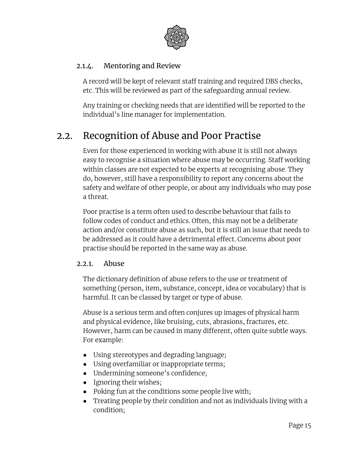

#### <span id="page-14-0"></span>2.1.4. Mentoring and Review

A record will be kept of relevant staff training and required DBS checks, etc. This will be reviewed as part of the safeguarding annual review.

Any training or checking needs that are identified will be reported to the individual's line manager for implementation.

# <span id="page-14-1"></span>2.2. Recognition of Abuse and Poor Practise

Even for those experienced in working with abuse it is still not always easy to recognise a situation where abuse may be occurring. Staff working within classes are not expected to be experts at recognising abuse. They do, however, still have a responsibility to report any concerns about the safety and welfare of other people, or about any individuals who may pose a threat.

Poor practise is a term often used to describe behaviour that fails to follow codes of conduct and ethics. Often, this may not be a deliberate action and/or constitute abuse as such, but it is still an issue that needs to be addressed as it could have a detrimental effect. Concerns about poor practise should be reported in the same way as abuse.

#### <span id="page-14-2"></span>2.2.1. Abuse

The dictionary definition of abuse refers to the use or treatment of something (person, item, substance, concept, idea or vocabulary) that is harmful. It can be classed by target or type of abuse.

Abuse is a serious term and often conjures up images of physical harm and physical evidence, like bruising, cuts, abrasions, fractures, etc. However, harm can be caused in many different, often quite subtle ways. For example:

- Using stereotypes and degrading language;
- Using overfamiliar or inappropriate terms;
- Undermining someone's confidence;
- Ignoring their wishes;
- Poking fun at the conditions some people live with;
- Treating people by their condition and not as individuals living with a condition;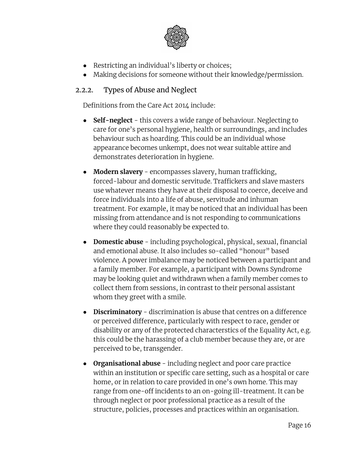

- Restricting an individual's liberty or choices;
- Making decisions for someone without their knowledge/permission.

#### <span id="page-15-0"></span>2.2.2. Types of Abuse and Neglect

Definitions from the Care Act 2014 include:

- **Self-neglect** this covers a wide range of behaviour. Neglecting to care for one's personal hygiene, health or surroundings, and includes behaviour such as hoarding. This could be an individual whose appearance becomes unkempt, does not wear suitable attire and demonstrates deterioration in hygiene.
- **● Modern slavery** encompasses slavery, human trafficking, forced-labour and domestic servitude. Traffickers and slave masters use whatever means they have at their disposal to coerce, deceive and force individuals into a life of abuse, servitude and inhuman treatment. For example, it may be noticed that an individual has been missing from attendance and is not responding to communications where they could reasonably be expected to.
- **● Domestic abuse** including psychological, physical, sexual, financial and emotional abuse. It also includes so-called "honour" based violence. A power imbalance may be noticed between a participant and a family member. For example, a participant with Downs Syndrome may be looking quiet and withdrawn when a family member comes to collect them from sessions, in contrast to their personal assistant whom they greet with a smile.
- **● Discriminatory** discrimination is abuse that centres on a difference or perceived difference, particularly with respect to race, gender or disability or any of the protected characterstics of the Equality Act, e.g. this could be the harassing of a club member because they are, or are perceived to be, transgender.
- **Organisational abuse** including neglect and poor care practice within an institution or specific care setting, such as a hospital or care home, or in relation to care provided in one's own home. This may range from one-off incidents to an on-going ill-treatment. It can be through neglect or poor professional practice as a result of the structure, policies, processes and practices within an organisation.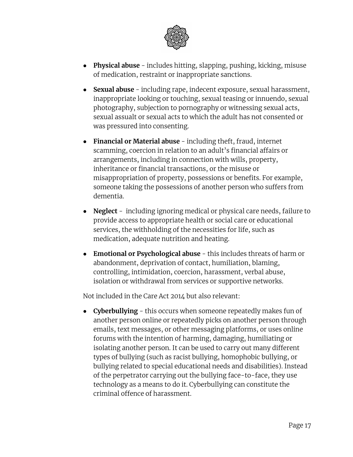

- **Physical abuse** includes hitting, slapping, pushing, kicking, misuse of medication, restraint or inappropriate sanctions.
- **Sexual abuse** including rape, indecent exposure, sexual harassment, inappropriate looking or touching, sexual teasing or innuendo, sexual photography, subjection to pornography or witnessing sexual acts, sexual assualt or sexual acts to which the adult has not consented or was pressured into consenting.
- **Financial or Material abuse** including theft, fraud, internet scamming, coercion in relation to an adult's financial affairs or arrangements, including in connection with wills, property, inheritance or financial transactions, or the misuse or misappropriation of property, possessions or benefits. For example, someone taking the possessions of another person who suffers from dementia.
- **Neglect** including ignoring medical or physical care needs, failure to provide access to appropriate health or social care or educational services, the withholding of the necessities for life, such as medication, adequate nutrition and heating.
- **● Emotional or Psychological abuse** this includes threats of harm or abandonment, deprivation of contact, humiliation, blaming, controlling, intimidation, coercion, harassment, verbal abuse, isolation or withdrawal from services or supportive networks.

Not included in the Care Act 2014 but also relevant:

**● Cyberbullying** - this occurs when someone repeatedly makes fun of another person online or repeatedly picks on another person through emails, text messages, or other messaging platforms, or uses online forums with the intention of harming, damaging, humiliating or isolating another person. It can be used to carry out many different types of bullying (such as racist bullying, homophobic bullying, or bullying related to special educational needs and disabilities). Instead of the perpetrator carrying out the bullying face-to-face, they use technology as a means to do it. Cyberbullying can constitute the criminal offence of harassment.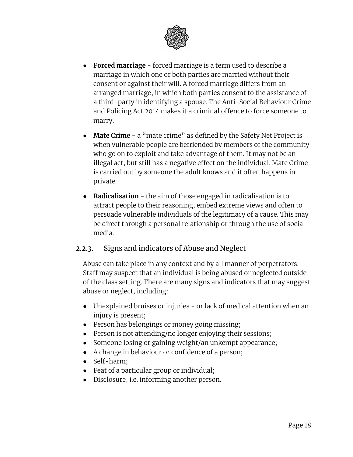

- **Forced marriage** forced marriage is a term used to describe a marriage in which one or both parties are married without their consent or against their will. A forced marriage differs from an arranged marriage, in which both parties consent to the assistance of a third-party in identifying a spouse. The Anti-Social Behaviour Crime and Policing Act 2014 makes it a criminal offence to force someone to marry.
- **Mate Crime** a "mate crime" as defined by the Safety Net Project is when vulnerable people are befriended by members of the community who go on to exploit and take advantage of them. It may not be an illegal act, but still has a negative effect on the individual. Mate Crime is carried out by someone the adult knows and it often happens in private.
- **Radicalisation** the aim of those engaged in radicalisation is to attract people to their reasoning, embed extreme views and often to persuade vulnerable individuals of the legitimacy of a cause. This may be direct through a personal relationship or through the use of social media.

#### <span id="page-17-0"></span>2.2.3. Signs and indicators of Abuse and Neglect

Abuse can take place in any context and by all manner of perpetrators. Staff may suspect that an individual is being abused or neglected outside of the class setting. There are many signs and indicators that may suggest abuse or neglect, including:

- Unexplained bruises or injuries or lack of medical attention when an injury is present;
- Person has belongings or money going missing;
- Person is not attending/no longer enjoying their sessions;
- Someone losing or gaining weight/an unkempt appearance;
- A change in behaviour or confidence of a person;
- Self-harm;
- Feat of a particular group or individual;
- Disclosure, i.e. informing another person.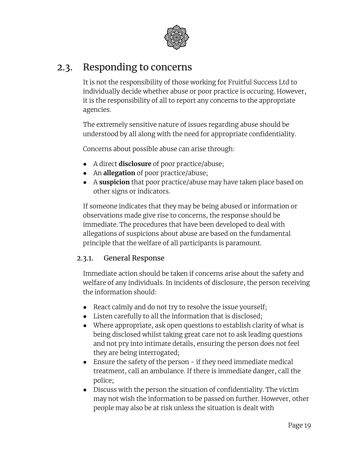

# <span id="page-18-0"></span>2.3. Responding to concerns

It is not the responsibility of those working for Fruitful Success Ltd to individually decide whether abuse or poor practice is occuring. However, it is the responsibility of all to report any concerns to the appropriate agencies.

The extremely sensitive nature of issues regarding abuse should be understood by all along with the need for appropriate confidentiality.

Concerns about possible abuse can arise through:

- A direct **disclosure** of poor practice/abuse;
- An **allegation** of poor practice/abuse;
- A **suspicion** that poor practice/abuse may have taken place based on other signs or indicators.

If someone indicates that they may be being abused or information or observations made give rise to concerns, the response should be immediate. The procedures that have been developed to deal with allegations of suspicions about abuse are based on the fundamental principle that the welfare of all participants is paramount.

#### <span id="page-18-1"></span>2.3.1. General Response

Immediate action should be taken if concerns arise about the safety and welfare of any individuals. In incidents of disclosure, the person receiving the information should:

- React calmly and do not try to resolve the issue yourself;
- Listen carefully to all the information that is disclosed;
- Where appropriate, ask open questions to establish clarity of what is being disclosed whilst taking great care not to ask leading questions and not pry into intimate details, ensuring the person does not feel they are being interrogated;
- Ensure the safety of the person if they need immediate medical treatment, call an ambulance. If there is immediate danger, call the police;
- Discuss with the person the situation of confidentiality. The victim may not wish the information to be passed on further. However, other people may also be at risk unless the situation is dealt with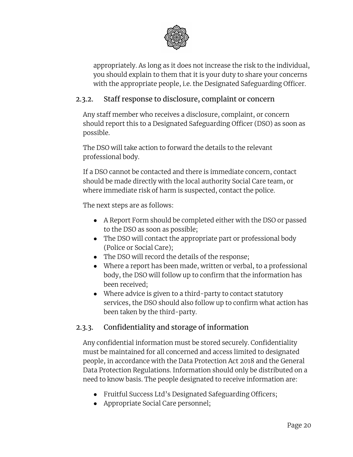

appropriately. As long as it does not increase the risk to the individual, you should explain to them that it is your duty to share your concerns with the appropriate people, i.e. the Designated Safeguarding Officer.

#### <span id="page-19-0"></span>2.3.2. Staff response to disclosure, complaint or concern

Any staff member who receives a disclosure, complaint, or concern should report this to a Designated Safeguarding Officer (DSO) as soon as possible.

The DSO will take action to forward the details to the relevant professional body.

If a DSO cannot be contacted and there is immediate concern, contact should be made directly with the local authority Social Care team, or where immediate risk of harm is suspected, contact the police.

The next steps are as follows:

- A Report Form should be completed either with the DSO or passed to the DSO as soon as possible;
- The DSO will contact the appropriate part or professional body (Police or Social Care);
- The DSO will record the details of the response;
- Where a report has been made, written or verbal, to a professional body, the DSO will follow up to confirm that the information has been received;
- Where advice is given to a third-party to contact statutory services, the DSO should also follow up to confirm what action has been taken by the third-party.

#### <span id="page-19-1"></span>2.3.3. Confidentiality and storage of information

Any confidential information must be stored securely. Confidentiality must be maintained for all concerned and access limited to designated people, in accordance with the Data Protection Act 2018 and the General Data Protection Regulations. Information should only be distributed on a need to know basis. The people designated to receive information are:

- Fruitful Success Ltd's Designated Safeguarding Officers;
- Appropriate Social Care personnel;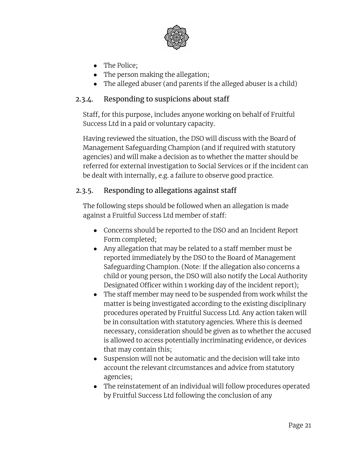

- The Police;
- The person making the allegation;
- The alleged abuser (and parents if the alleged abuser is a child)

#### <span id="page-20-0"></span>2.3.4. Responding to suspicions about staff

Staff, for this purpose, includes anyone working on behalf of Fruitful Success Ltd in a paid or voluntary capacity.

Having reviewed the situation, the DSO will discuss with the Board of Management Safeguarding Champion (and if required with statutory agencies) and will make a decision as to whether the matter should be referred for external investigation to Social Services or if the incident can be dealt with internally, e.g. a failure to observe good practice.

#### <span id="page-20-1"></span>2.3.5. Responding to allegations against staff

The following steps should be followed when an allegation is made against a Fruitful Success Ltd member of staff:

- Concerns should be reported to the DSO and an Incident Report Form completed;
- Any allegation that may be related to a staff member must be reported immediately by the DSO to the Board of Management Safeguarding Champion. (Note: if the allegation also concerns a child or young person, the DSO will also notify the Local Authority Designated Officer within 1 working day of the incident report);
- The staff member may need to be suspended from work whilst the matter is being investigated according to the existing disciplinary procedures operated by Fruitful Success Ltd. Any action taken will be in consultation with statutory agencies. Where this is deemed necessary, consideration should be given as to whether the accused is allowed to access potentially incriminating evidence, or devices that may contain this;
- Suspension will not be automatic and the decision will take into account the relevant circumstances and advice from statutory agencies;
- The reinstatement of an individual will follow procedures operated by Fruitful Success Ltd following the conclusion of any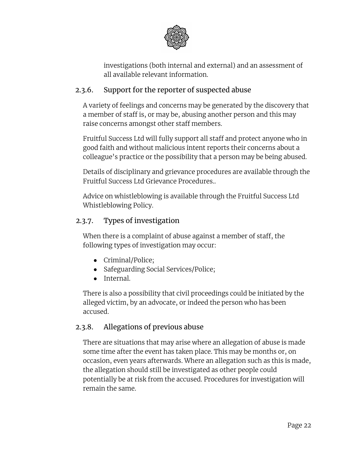

investigations (both internal and external) and an assessment of all available relevant information.

#### <span id="page-21-0"></span>2.3.6. Support for the reporter of suspected abuse

A variety of feelings and concerns may be generated by the discovery that a member of staff is, or may be, abusing another person and this may raise concerns amongst other staff members.

Fruitful Success Ltd will fully support all staff and protect anyone who in good faith and without malicious intent reports their concerns about a colleague's practice or the possibility that a person may be being abused.

Details of disciplinary and grievance procedures are available through the Fruitful Success Ltd Grievance Procedures..

Advice on whistleblowing is available through the Fruitful Success Ltd Whistleblowing Policy.

#### <span id="page-21-1"></span>2.3.7. Types of investigation

When there is a complaint of abuse against a member of staff, the following types of investigation may occur:

- Criminal/Police;
- Safeguarding Social Services/Police;
- Internal.

There is also a possibility that civil proceedings could be initiated by the alleged victim, by an advocate, or indeed the person who has been accused.

#### <span id="page-21-2"></span>2.3.8. Allegations of previous abuse

There are situations that may arise where an allegation of abuse is made some time after the event has taken place. This may be months or, on occasion, even years afterwards. Where an allegation such as this is made, the allegation should still be investigated as other people could potentially be at risk from the accused. Procedures for investigation will remain the same.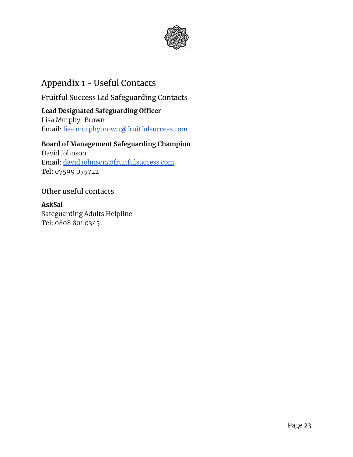

### <span id="page-22-0"></span>Appendix 1 - Useful Contacts

<span id="page-22-1"></span>Fruitful Success Ltd Safeguarding Contacts

#### **Lead Designated Safeguarding Officer**

Lisa Murphy-Brown Email: [lisa.murphybrown@fruitfulsuccess.com](mailto:lisa.murphybrown@fruitfulsuccess.com)

#### **Board of Management Safeguarding Champion**

David Johnson Email: [david.johnson@fruitfulsuccess.com](mailto:david.johnson@fruitfulsuccess.com) Tel: 07599 075722

#### <span id="page-22-2"></span>Other useful contacts

**AskSal** Safeguarding Adults Helpline Tel: 0808 801 0345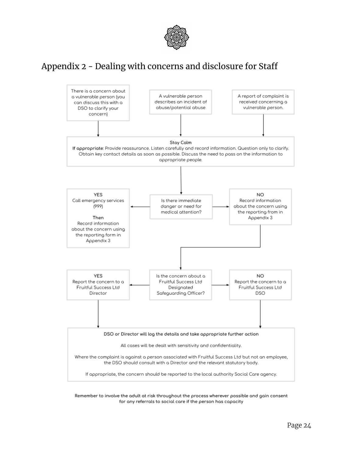

### <span id="page-23-0"></span>Appendix 2 - Dealing with concerns and disclosure for Staff



Remember to involve the adult at risk throughout the process wherever possible and gain consent for any referrals to social care if the person has capacity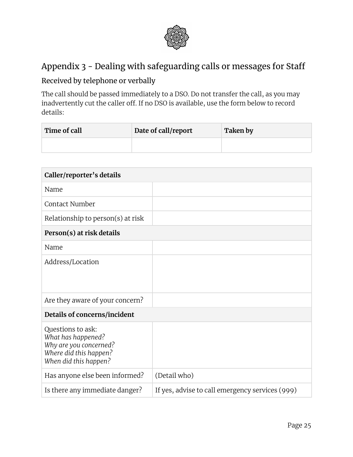

### <span id="page-24-0"></span>Appendix 3 - Dealing with safeguarding calls or messages for Staff

#### <span id="page-24-1"></span>Received by telephone or verbally

The call should be passed immediately to a DSO. Do not transfer the call, as you may inadvertently cut the caller off. If no DSO is available, use the form below to record details:

| Time of call | Date of call/report | <b>Taken by</b> |
|--------------|---------------------|-----------------|
|              |                     |                 |

| Caller/reporter's details                                                                                            |                                                 |  |
|----------------------------------------------------------------------------------------------------------------------|-------------------------------------------------|--|
| Name                                                                                                                 |                                                 |  |
| Contact Number                                                                                                       |                                                 |  |
| Relationship to person(s) at risk                                                                                    |                                                 |  |
| Person(s) at risk details                                                                                            |                                                 |  |
| Name                                                                                                                 |                                                 |  |
| Address/Location                                                                                                     |                                                 |  |
| Are they aware of your concern?                                                                                      |                                                 |  |
| Details of concerns/incident                                                                                         |                                                 |  |
| Questions to ask:<br>What has happened?<br>Why are you concerned?<br>Where did this happen?<br>When did this happen? |                                                 |  |
| Has anyone else been informed?                                                                                       | (Detail who)                                    |  |
| Is there any immediate danger?                                                                                       | If yes, advise to call emergency services (999) |  |